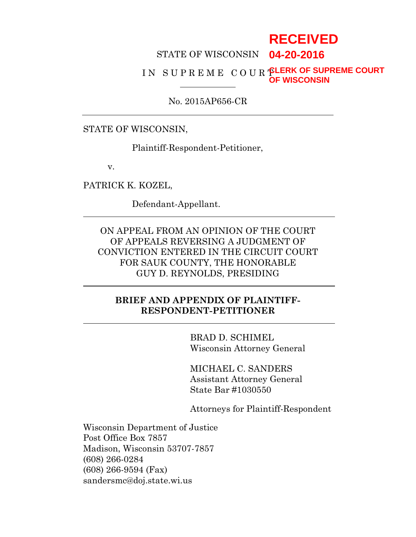# **RECEIVED**

#### STATE OF WISCONSIN **04-20-2016**

#### IN SUPREME COUR **PLERK OF SUPREME COURT OF WISCONSIN**

No. 2015AP656-CR

#### STATE OF WISCONSIN,

Plaintiff-Respondent-Petitioner,

v.

PATRICK K. KOZEL,

Defendant-Appellant.

ON APPEAL FROM AN OPINION OF THE COURT OF APPEALS REVERSING A JUDGMENT OF CONVICTION ENTERED IN THE CIRCUIT COURT FOR SAUK COUNTY, THE HONORABLE GUY D. REYNOLDS, PRESIDING

## **BRIEF AND APPENDIX OF PLAINTIFF-RESPONDENT-PETITIONER**

BRAD D. SCHIMEL Wisconsin Attorney General

MICHAEL C. SANDERS Assistant Attorney General State Bar #1030550

Attorneys for Plaintiff-Respondent

Wisconsin Department of Justice Post Office Box 7857 Madison, Wisconsin 53707-7857 (608) 266-0284 (608) 266-9594 (Fax) sandersmc@doj.state.wi.us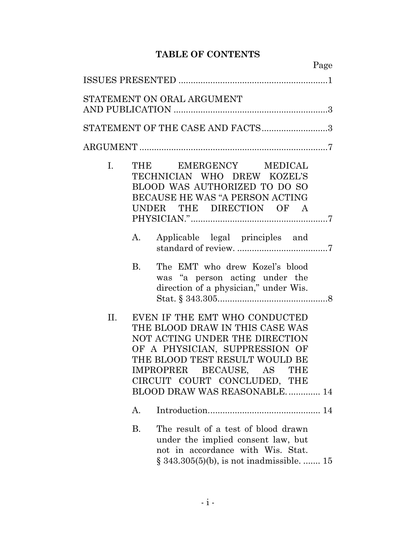# **TABLE OF CONTENTS**

|     | Page                                                                                                                                                                                                                                                                   |
|-----|------------------------------------------------------------------------------------------------------------------------------------------------------------------------------------------------------------------------------------------------------------------------|
|     |                                                                                                                                                                                                                                                                        |
|     | STATEMENT ON ORAL ARGUMENT                                                                                                                                                                                                                                             |
|     | STATEMENT OF THE CASE AND FACTS3                                                                                                                                                                                                                                       |
|     |                                                                                                                                                                                                                                                                        |
| I.  | EMERGENCY MEDICAL<br>THE<br>TECHNICIAN WHO DREW KOZEL'S<br>BLOOD WAS AUTHORIZED TO DO SO<br>BECAUSE HE WAS "A PERSON ACTING<br>UNDER THE DIRECTION OF A                                                                                                                |
|     | Applicable legal principles and<br>A.                                                                                                                                                                                                                                  |
|     | <b>B.</b><br>The EMT who drew Kozel's blood<br>was "a person acting under the<br>direction of a physician," under Wis.                                                                                                                                                 |
| II. | EVEN IF THE EMT WHO CONDUCTED<br>THE BLOOD DRAW IN THIS CASE WAS<br>NOT ACTING UNDER THE DIRECTION<br>OF A PHYSICIAN, SUPPRESSION OF<br>THE BLOOD TEST RESULT WOULD BE<br>IMPROPRER BECAUSE, AS<br>THE<br>CIRCUIT COURT CONCLUDED, THE<br>BLOOD DRAW WAS REASONABLE 14 |
|     | Α.                                                                                                                                                                                                                                                                     |
|     | <b>B.</b><br>The result of a test of blood drawn<br>under the implied consent law, but<br>not in accordance with Wis. Stat.<br>$\S 343.305(5)(b)$ , is not inadmissible.  15                                                                                           |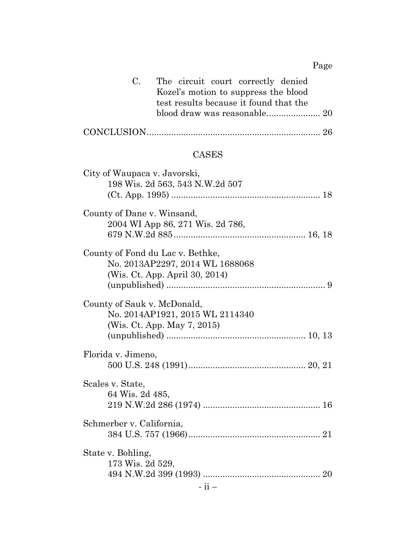Page

| C. The circuit court correctly denied  |  |
|----------------------------------------|--|
| Kozel's motion to suppress the blood   |  |
| test results because it found that the |  |
|                                        |  |
|                                        |  |

# CASES

| City of Waupaca v. Javorski,<br>198 Wis. 2d 563, 543 N.W.2d 507   |
|-------------------------------------------------------------------|
|                                                                   |
| County of Dane v. Winsand,                                        |
| 2004 WI App 86, 271 Wis. 2d 786,                                  |
| County of Fond du Lac v. Bethke,                                  |
| No. 2013AP2297, 2014 WL 1688068<br>(Wis. Ct. App. April 30, 2014) |
|                                                                   |
| County of Sauk v. McDonald,<br>No. 2014AP1921, 2015 WL 2114340    |
| (Wis. Ct. App. May 7, 2015)                                       |
|                                                                   |
| Florida v. Jimeno,                                                |
|                                                                   |
| Scales v. State,                                                  |
| 64 Wis. 2d 485,                                                   |
| Schmerber v. California,                                          |
|                                                                   |
| State v. Bohling,                                                 |
| 173 Wis. 2d 529,                                                  |
|                                                                   |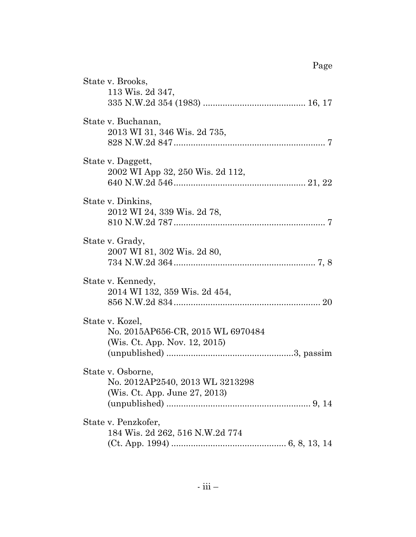|                                                                                       | Page |
|---------------------------------------------------------------------------------------|------|
| State v. Brooks,<br>113 Wis. 2d 347,                                                  |      |
| State v. Buchanan,<br>2013 WI 31, 346 Wis. 2d 735,                                    |      |
| State v. Daggett,<br>2002 WI App 32, 250 Wis. 2d 112,                                 |      |
| State v. Dinkins,<br>2012 WI 24, 339 Wis. 2d 78,                                      |      |
| State v. Grady,<br>2007 WI 81, 302 Wis. 2d 80,                                        |      |
| State v. Kennedy,<br>2014 WI 132, 359 Wis. 2d 454,                                    |      |
| State v. Kozel,<br>No. 2015AP656-CR, 2015 WL 6970484<br>(Wis. Ct. App. Nov. 12, 2015) |      |
| State v. Osborne,<br>No. 2012AP2540, 2013 WL 3213298<br>(Wis. Ct. App. June 27, 2013) |      |
| State v. Penzkofer,<br>184 Wis. 2d 262, 516 N.W.2d 774                                |      |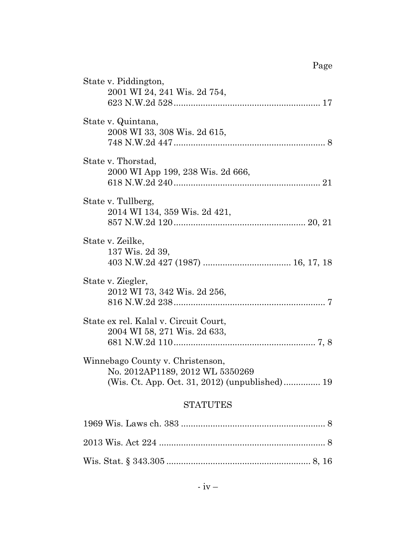| State v. Piddington,<br>2001 WI 24, 241 Wis. 2d 754,                  |
|-----------------------------------------------------------------------|
| State v. Quintana,<br>2008 WI 33, 308 Wis. 2d 615,                    |
| State v. Thorstad,<br>2000 WI App 199, 238 Wis. 2d 666,               |
| State v. Tullberg,<br>2014 WI 134, 359 Wis. 2d 421,                   |
| State v. Zeilke,<br>137 Wis. 2d 39,                                   |
| State v. Ziegler,<br>2012 WI 73, 342 Wis. 2d 256,                     |
| State ex rel. Kalal v. Circuit Court,<br>2004 WI 58, 271 Wis. 2d 633, |
| Winnebago County v. Christenson,<br>No. 2012AP1189, 2012 WL 5350269   |
| <b>STATUTES</b>                                                       |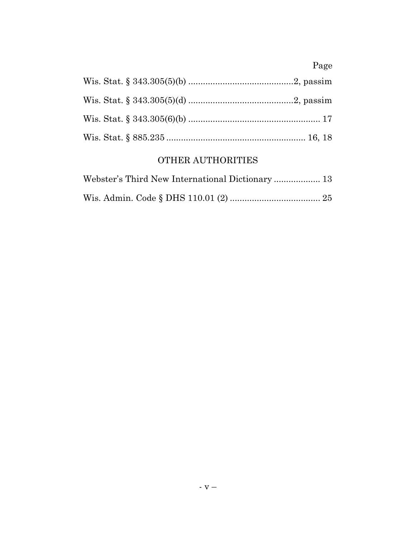# Page

# OTHER AUTHORITIES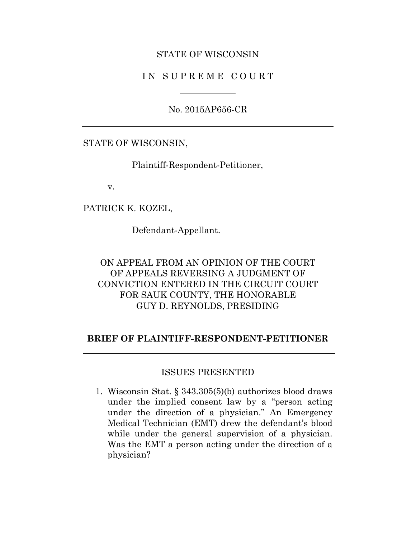#### STATE OF WISCONSIN

### IN SUPREME COURT

No. 2015AP656-CR

#### STATE OF WISCONSIN,

Plaintiff-Respondent-Petitioner,

v.

PATRICK K. KOZEL,

Defendant-Appellant.

# ON APPEAL FROM AN OPINION OF THE COURT OF APPEALS REVERSING A JUDGMENT OF CONVICTION ENTERED IN THE CIRCUIT COURT FOR SAUK COUNTY, THE HONORABLE GUY D. REYNOLDS, PRESIDING

### **BRIEF OF PLAINTIFF-RESPONDENT-PETITIONER**

#### ISSUES PRESENTED

1. Wisconsin Stat. § 343.305(5)(b) authorizes blood draws under the implied consent law by a "person acting under the direction of a physician." An Emergency Medical Technician (EMT) drew the defendant's blood while under the general supervision of a physician. Was the EMT a person acting under the direction of a physician?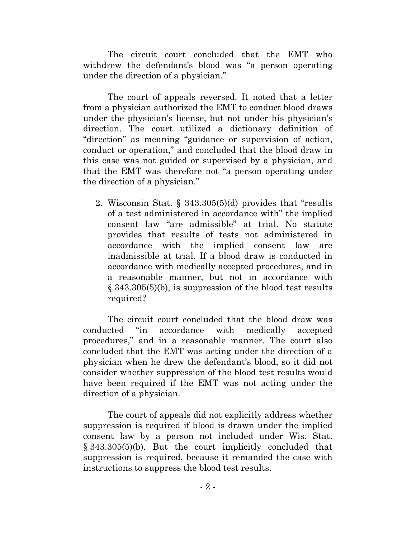The circuit court concluded that the EMT who withdrew the defendant's blood was "a person operating under the direction of a physician."

The court of appeals reversed. It noted that a letter from a physician authorized the EMT to conduct blood draws under the physician's license, but not under his physician's direction. The court utilized a dictionary definition of "direction" as meaning "guidance or supervision of action, conduct or operation," and concluded that the blood draw in this case was not guided or supervised by a physician, and that the EMT was therefore not "a person operating under the direction of a physician."

2. Wisconsin Stat. § 343.305(5)(d) provides that "results of a test administered in accordance with" the implied consent law "are admissible" at trial. No statute provides that results of tests not administered in accordance with the implied consent law are inadmissible at trial. If a blood draw is conducted in accordance with medically accepted procedures, and in a reasonable manner, but not in accordance with § 343.305(5)(b), is suppression of the blood test results required?

The circuit court concluded that the blood draw was conducted "in accordance with medically accepted procedures," and in a reasonable manner. The court also concluded that the EMT was acting under the direction of a physician when he drew the defendant's blood, so it did not consider whether suppression of the blood test results would have been required if the EMT was not acting under the direction of a physician.

The court of appeals did not explicitly address whether suppression is required if blood is drawn under the implied consent law by a person not included under Wis. Stat. § 343.305(5)(b). But the court implicitly concluded that suppression is required, because it remanded the case with instructions to suppress the blood test results.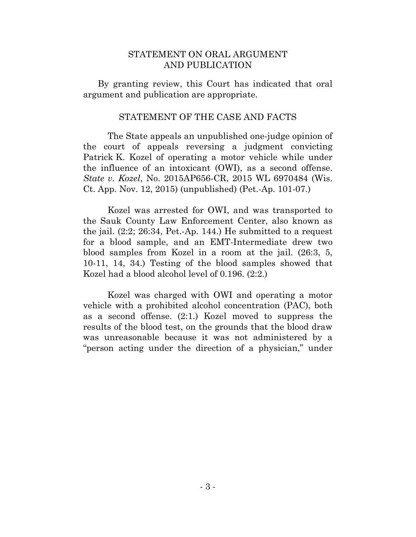#### STATEMENT ON ORAL ARGUMENT AND PUBLICATION

By granting review, this Court has indicated that oral argument and publication are appropriate.

#### STATEMENT OF THE CASE AND FACTS

The State appeals an unpublished one-judge opinion of the court of appeals reversing a judgment convicting Patrick K. Kozel of operating a motor vehicle while under the influence of an intoxicant (OWI), as a second offense. *State v. Kozel*, No. 2015AP656-CR, 2015 WL 6970484 (Wis. Ct. App. Nov. 12, 2015) (unpublished) (Pet.-Ap. 101-07.)

Kozel was arrested for OWI, and was transported to the Sauk County Law Enforcement Center, also known as the jail. (2:2; 26:34, Pet.-Ap. 144.) He submitted to a request for a blood sample, and an EMT-Intermediate drew two blood samples from Kozel in a room at the jail. (26:3, 5, 10-11, 14, 34.) Testing of the blood samples showed that Kozel had a blood alcohol level of 0.196. (2:2.)

Kozel was charged with OWI and operating a motor vehicle with a prohibited alcohol concentration (PAC), both as a second offense. (2:1.) Kozel moved to suppress the results of the blood test, on the grounds that the blood draw was unreasonable because it was not administered by a "person acting under the direction of a physician," under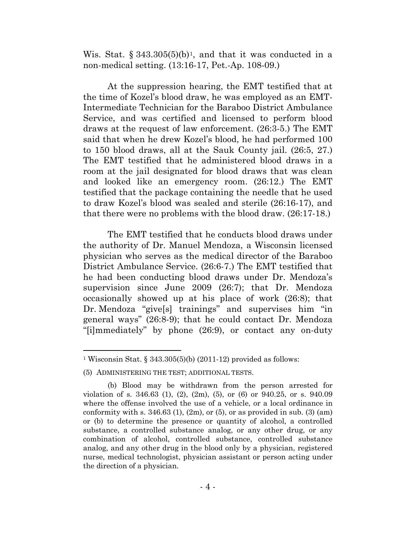Wis. Stat. § 343.305(5)(b)<sup>1</sup>, and that it was conducted in a non-medical setting. (13:16-17, Pet.-Ap. 108-09.)

At the suppression hearing, the EMT testified that at the time of Kozel's blood draw, he was employed as an EMT-Intermediate Technician for the Baraboo District Ambulance Service, and was certified and licensed to perform blood draws at the request of law enforcement. (26:3-5.) The EMT said that when he drew Kozel's blood, he had performed 100 to 150 blood draws, all at the Sauk County jail. (26:5, 27.) The EMT testified that he administered blood draws in a room at the jail designated for blood draws that was clean and looked like an emergency room. (26:12.) The EMT testified that the package containing the needle that he used to draw Kozel's blood was sealed and sterile (26:16-17), and that there were no problems with the blood draw. (26:17-18.)

The EMT testified that he conducts blood draws under the authority of Dr. Manuel Mendoza, a Wisconsin licensed physician who serves as the medical director of the Baraboo District Ambulance Service. (26:6-7.) The EMT testified that he had been conducting blood draws under Dr. Mendoza's supervision since June 2009 (26:7); that Dr. Mendoza occasionally showed up at his place of work (26:8); that Dr. Mendoza "give[s] trainings" and supervises him "in general ways" (26:8-9); that he could contact Dr. Mendoza "[i]mmediately" by phone (26:9), or contact any on-duty

 $\overline{a}$ 

<span id="page-9-0"></span><sup>&</sup>lt;sup>1</sup> Wisconsin Stat. § 343.305(5)(b) (2011-12) provided as follows:

<sup>(5)</sup> ADMINISTERING THE TEST; ADDITIONAL TESTS.

<sup>(</sup>b) Blood may be withdrawn from the person arrested for violation of s. 346.63 (1), (2), (2m), (5), or (6) or 940.25, or s. 940.09 where the offense involved the use of a vehicle, or a local ordinance in conformity with s.  $346.63$  (1), (2m), or (5), or as provided in sub. (3) (am) or (b) to determine the presence or quantity of alcohol, a controlled substance, a controlled substance analog, or any other drug, or any combination of alcohol, controlled substance, controlled substance analog, and any other drug in the blood only by a physician, registered nurse, medical technologist, physician assistant or person acting under the direction of a physician.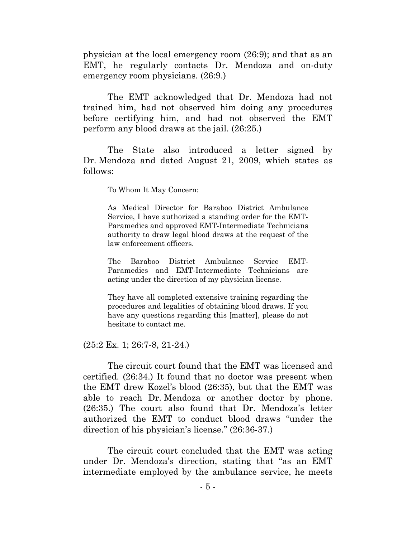physician at the local emergency room (26:9); and that as an EMT, he regularly contacts Dr. Mendoza and on-duty emergency room physicians. (26:9.)

The EMT acknowledged that Dr. Mendoza had not trained him, had not observed him doing any procedures before certifying him, and had not observed the EMT perform any blood draws at the jail. (26:25.)

The State also introduced a letter signed by Dr. Mendoza and dated August 21, 2009, which states as follows:

To Whom It May Concern:

As Medical Director for Baraboo District Ambulance Service, I have authorized a standing order for the EMT-Paramedics and approved EMT-Intermediate Technicians authority to draw legal blood draws at the request of the law enforcement officers.

The Baraboo District Ambulance Service EMT-Paramedics and EMT-Intermediate Technicians are acting under the direction of my physician license.

They have all completed extensive training regarding the procedures and legalities of obtaining blood draws. If you have any questions regarding this [matter], please do not hesitate to contact me.

(25:2 Ex. 1; 26:7-8, 21-24.)

The circuit court found that the EMT was licensed and certified. (26:34.) It found that no doctor was present when the EMT drew Kozel's blood (26:35), but that the EMT was able to reach Dr. Mendoza or another doctor by phone. (26:35.) The court also found that Dr. Mendoza's letter authorized the EMT to conduct blood draws "under the direction of his physician's license." (26:36-37.)

The circuit court concluded that the EMT was acting under Dr. Mendoza's direction, stating that "as an EMT intermediate employed by the ambulance service, he meets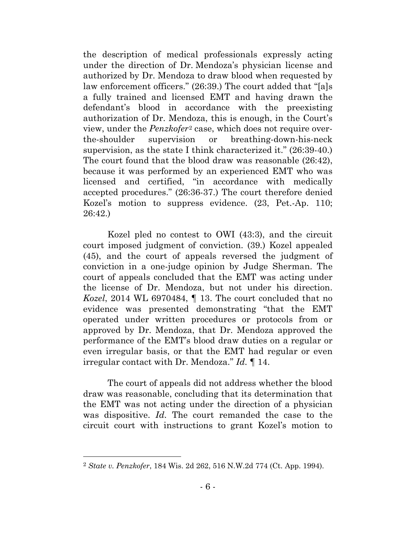the description of medical professionals expressly acting under the direction of Dr. Mendoza's physician license and authorized by Dr. Mendoza to draw blood when requested by law enforcement officers." (26:39.) The court added that "[a]s a fully trained and licensed EMT and having drawn the defendant's blood in accordance with the preexisting authorization of Dr. Mendoza, this is enough, in the Court's view, under the *Penzkofer*[2](#page-11-0) case, which does not require overthe-shoulder supervision or breathing-down-his-neck supervision, as the state I think characterized it." (26:39-40.) The court found that the blood draw was reasonable (26:42), because it was performed by an experienced EMT who was licensed and certified, "in accordance with medically accepted procedures." (26:36-37.) The court therefore denied Kozel's motion to suppress evidence. (23, Pet.-Ap. 110; 26:42.)

Kozel pled no contest to OWI (43:3), and the circuit court imposed judgment of conviction. (39.) Kozel appealed (45), and the court of appeals reversed the judgment of conviction in a one-judge opinion by Judge Sherman. The court of appeals concluded that the EMT was acting under the license of Dr. Mendoza, but not under his direction. *Kozel*, 2014 WL 6970484, ¶ 13. The court concluded that no evidence was presented demonstrating "that the EMT operated under written procedures or protocols from or approved by Dr. Mendoza, that Dr. Mendoza approved the performance of the EMT's blood draw duties on a regular or even irregular basis, or that the EMT had regular or even irregular contact with Dr. Mendoza." *Id.* ¶ 14.

The court of appeals did not address whether the blood draw was reasonable, concluding that its determination that the EMT was not acting under the direction of a physician was dispositive. *Id.* The court remanded the case to the circuit court with instructions to grant Kozel's motion to

 $\overline{a}$ 

<span id="page-11-0"></span><sup>2</sup> *State v. Penzkofer*, 184 Wis. 2d 262, 516 N.W.2d 774 (Ct. App. 1994).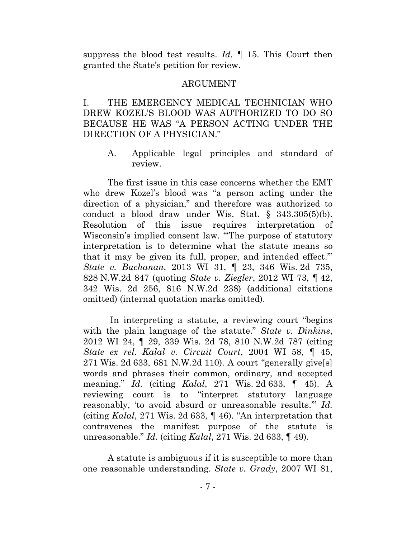suppress the blood test results. *Id.* ¶ 15. This Court then granted the State's petition for review.

#### ARGUMENT

I. THE EMERGENCY MEDICAL TECHNICIAN WHO DREW KOZEL'S BLOOD WAS AUTHORIZED TO DO SO BECAUSE HE WAS "A PERSON ACTING UNDER THE DIRECTION OF A PHYSICIAN."

A. Applicable legal principles and standard of review.

The first issue in this case concerns whether the EMT who drew Kozel's blood was "a person acting under the direction of a physician," and therefore was authorized to conduct a blood draw under Wis. Stat. § 343.305(5)(b). Resolution of this issue requires interpretation of Wisconsin's implied consent law. "'The purpose of statutory interpretation is to determine what the statute means so that it may be given its full, proper, and intended effect.'" *State v. Buchanan*, 2013 WI 31, ¶ 23, 346 Wis. 2d 735, 828 N.W.2d 847 (quoting *State v. Ziegler*, 2012 WI 73, ¶ 42, 342 Wis. 2d 256, 816 N.W.2d 238) (additional citations omitted) (internal quotation marks omitted).

In interpreting a statute, a reviewing court "begins with the plain language of the statute." *State v. Dinkins*, 2012 WI 24, ¶ 29, 339 Wis. 2d 78, 810 N.W.2d 787 (citing *State ex rel. Kalal v. Circuit Court*, 2004 WI 58, ¶ 45, 271 Wis. 2d 633, 681 N.W.2d 110). A court "generally give[s] words and phrases their common, ordinary, and accepted meaning." *Id.* (citing *Kalal*, 271 Wis. 2d 633, ¶ 45). A reviewing court is to "interpret statutory language reasonably, 'to avoid absurd or unreasonable results.'" *Id.* (citing *Kalal*, 271 Wis. 2d 633, ¶ 46). "An interpretation that contravenes the manifest purpose of the statute is unreasonable." *Id.* (citing *Kalal*, 271 Wis. 2d 633, ¶ 49).

A statute is ambiguous if it is susceptible to more than one reasonable understanding. *State v. Grady*, 2007 WI 81,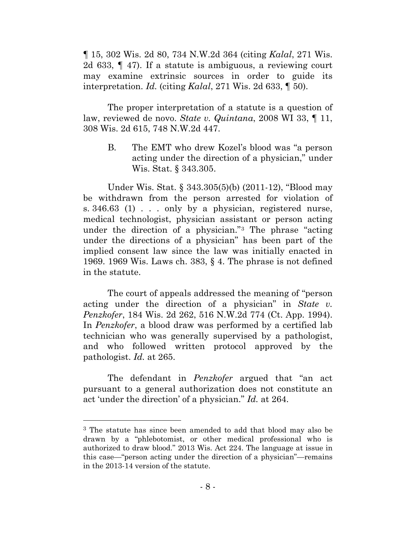¶ 15, 302 Wis. 2d 80, 734 N.W.2d 364 (citing *Kalal*, 271 Wis. 2d 633, ¶ 47). If a statute is ambiguous, a reviewing court may examine extrinsic sources in order to guide its interpretation. *Id.* (citing *Kalal*, 271 Wis. 2d 633, ¶ 50).

The proper interpretation of a statute is a question of law, reviewed de novo. *State v. Quintana*, 2008 WI 33, ¶ 11, 308 Wis. 2d 615, 748 N.W.2d 447.

B. The EMT who drew Kozel's blood was "a person acting under the direction of a physician," under Wis. Stat. § 343.305.

Under Wis. Stat. § 343.305(5)(b) (2011-12), "Blood may be withdrawn from the person arrested for violation of s. 346.63 (1) . . . only by a physician, registered nurse, medical technologist, physician assistant or person acting under the direction of a physician."[3](#page-13-0) The phrase "acting under the directions of a physician" has been part of the implied consent law since the law was initially enacted in 1969. 1969 Wis. Laws ch. 383, § 4. The phrase is not defined in the statute.

The court of appeals addressed the meaning of "person acting under the direction of a physician" in *State v. Penzkofer*, 184 Wis. 2d 262, 516 N.W.2d 774 (Ct. App. 1994). In *Penzkofer*, a blood draw was performed by a certified lab technician who was generally supervised by a pathologist, and who followed written protocol approved by the pathologist. *Id.* at 265.

The defendant in *Penzkofer* argued that "an act pursuant to a general authorization does not constitute an act 'under the direction' of a physician." *Id.* at 264.

 $\overline{a}$ 

<span id="page-13-0"></span><sup>3</sup> The statute has since been amended to add that blood may also be drawn by a "phlebotomist, or other medical professional who is authorized to draw blood." 2013 Wis. Act 224. The language at issue in this case—"person acting under the direction of a physician"—remains in the 2013-14 version of the statute.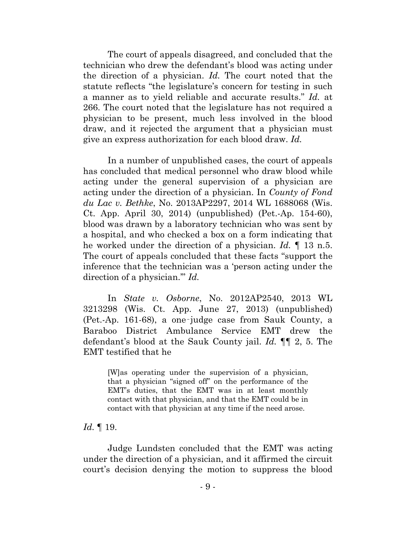The court of appeals disagreed, and concluded that the technician who drew the defendant's blood was acting under the direction of a physician. *Id.* The court noted that the statute reflects "the legislature's concern for testing in such a manner as to yield reliable and accurate results." *Id.* at 266. The court noted that the legislature has not required a physician to be present, much less involved in the blood draw, and it rejected the argument that a physician must give an express authorization for each blood draw. *Id.*

In a number of unpublished cases, the court of appeals has concluded that medical personnel who draw blood while acting under the general supervision of a physician are acting under the direction of a physician. In *County of Fond du Lac v. Bethke*, No. 2013AP2297, 2014 WL 1688068 (Wis. Ct. App. April 30, 2014) (unpublished) (Pet.-Ap. 154-60), blood was drawn by a laboratory technician who was sent by a hospital, and who checked a box on a form indicating that he worked under the direction of a physician. *Id.* ¶ 13 n.5. The court of appeals concluded that these facts "support the inference that the technician was a 'person acting under the direction of a physician.'" *Id.*

In *State v. Osborne*, No. 2012AP2540, 2013 WL 3213298 (Wis. Ct. App. June 27, 2013) (unpublished) (Pet.-Ap. 161-68), a one‑judge case from Sauk County, a Baraboo District Ambulance Service EMT drew the defendant's blood at the Sauk County jail. *Id.* ¶¶ 2, 5. The EMT testified that he

[W]as operating under the supervision of a physician, that a physician "signed off" on the performance of the EMT's duties, that the EMT was in at least monthly contact with that physician, and that the EMT could be in contact with that physician at any time if the need arose.

*Id.* ¶ 19.

Judge Lundsten concluded that the EMT was acting under the direction of a physician, and it affirmed the circuit court's decision denying the motion to suppress the blood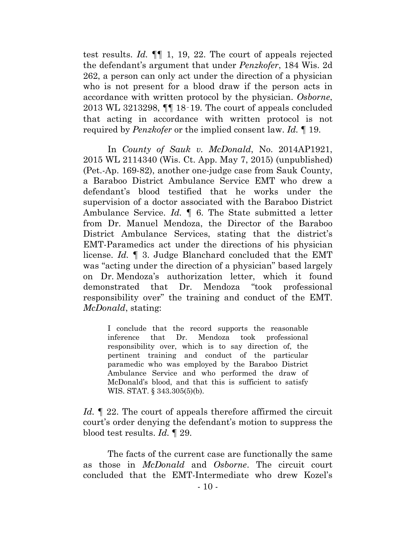test results. *Id.* ¶¶ 1, 19, 22. The court of appeals rejected the defendant's argument that under *Penzkofer*, 184 Wis. 2d 262, a person can only act under the direction of a physician who is not present for a blood draw if the person acts in accordance with written protocol by the physician. *Osborne*, 2013 WL 3213298, ¶¶ 18‑19. The court of appeals concluded that acting in accordance with written protocol is not required by *Penzkofer* or the implied consent law. *Id.* ¶ 19.

In *County of Sauk v. McDonald*, No. 2014AP1921, 2015 WL 2114340 (Wis. Ct. App. May 7, 2015) (unpublished) (Pet.-Ap. 169-82), another one-judge case from Sauk County, a Baraboo District Ambulance Service EMT who drew a defendant's blood testified that he works under the supervision of a doctor associated with the Baraboo District Ambulance Service. *Id.* ¶ 6. The State submitted a letter from Dr. Manuel Mendoza, the Director of the Baraboo District Ambulance Services, stating that the district's EMT-Paramedics act under the directions of his physician license. *Id.* ¶ 3. Judge Blanchard concluded that the EMT was "acting under the direction of a physician" based largely on Dr. Mendoza's authorization letter, which it found demonstrated that Dr. Mendoza "took professional responsibility over" the training and conduct of the EMT. *McDonald*, stating:

I conclude that the record supports the reasonable inference that Dr. Mendoza took professional responsibility over, which is to say direction of, the pertinent training and conduct of the particular paramedic who was employed by the Baraboo District Ambulance Service and who performed the draw of McDonald's blood, and that this is sufficient to satisfy WIS. STAT. § 343.305(5)(b).

*Id.* **[47.15 22]** The court of appeals therefore affirmed the circuit court's order denying the defendant's motion to suppress the blood test results. *Id.* ¶ 29.

The facts of the current case are functionally the same as those in *McDonald* and *Osborne*. The circuit court concluded that the EMT-Intermediate who drew Kozel's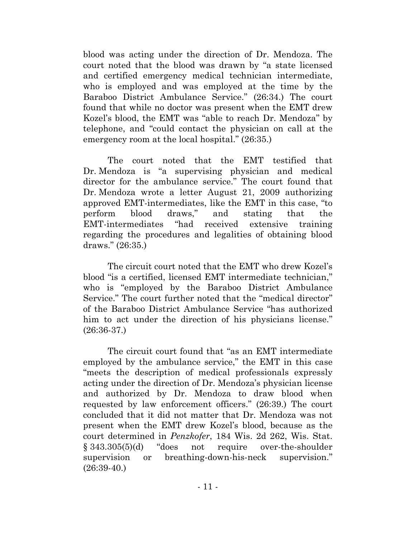blood was acting under the direction of Dr. Mendoza. The court noted that the blood was drawn by "a state licensed and certified emergency medical technician intermediate, who is employed and was employed at the time by the Baraboo District Ambulance Service." (26:34.) The court found that while no doctor was present when the EMT drew Kozel's blood, the EMT was "able to reach Dr. Mendoza" by telephone, and "could contact the physician on call at the emergency room at the local hospital." (26:35.)

The court noted that the EMT testified that Dr. Mendoza is "a supervising physician and medical director for the ambulance service." The court found that Dr. Mendoza wrote a letter August 21, 2009 authorizing approved EMT-intermediates, like the EMT in this case, "to perform blood draws," and stating that the EMT-intermediates "had received extensive training regarding the procedures and legalities of obtaining blood draws." (26:35.)

The circuit court noted that the EMT who drew Kozel's blood "is a certified, licensed EMT intermediate technician," who is "employed by the Baraboo District Ambulance Service." The court further noted that the "medical director" of the Baraboo District Ambulance Service "has authorized him to act under the direction of his physicians license." (26:36-37.)

The circuit court found that "as an EMT intermediate employed by the ambulance service," the EMT in this case "meets the description of medical professionals expressly acting under the direction of Dr. Mendoza's physician license and authorized by Dr. Mendoza to draw blood when requested by law enforcement officers." (26:39.) The court concluded that it did not matter that Dr. Mendoza was not present when the EMT drew Kozel's blood, because as the court determined in *Penzkofer*, 184 Wis. 2d 262, Wis. Stat. § 343.305(5)(d) "does not require over-the-shoulder supervision or breathing-down-his-neck supervision." (26:39-40.)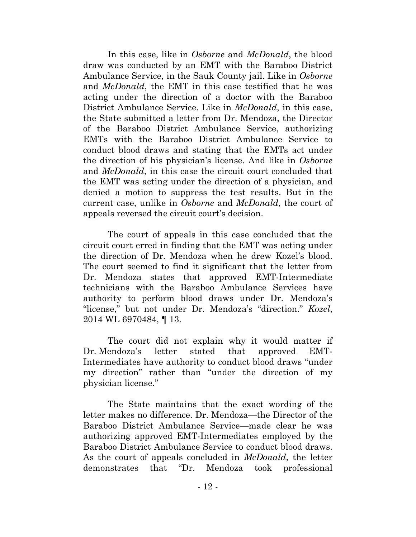In this case, like in *Osborne* and *McDonald*, the blood draw was conducted by an EMT with the Baraboo District Ambulance Service, in the Sauk County jail. Like in *Osborne* and *McDonald*, the EMT in this case testified that he was acting under the direction of a doctor with the Baraboo District Ambulance Service. Like in *McDonald*, in this case, the State submitted a letter from Dr. Mendoza, the Director of the Baraboo District Ambulance Service, authorizing EMTs with the Baraboo District Ambulance Service to conduct blood draws and stating that the EMTs act under the direction of his physician's license. And like in *Osborne* and *McDonald*, in this case the circuit court concluded that the EMT was acting under the direction of a physician, and denied a motion to suppress the test results. But in the current case, unlike in *Osborne* and *McDonald*, the court of appeals reversed the circuit court's decision.

The court of appeals in this case concluded that the circuit court erred in finding that the EMT was acting under the direction of Dr. Mendoza when he drew Kozel's blood. The court seemed to find it significant that the letter from Dr. Mendoza states that approved EMT-Intermediate technicians with the Baraboo Ambulance Services have authority to perform blood draws under Dr. Mendoza's "license," but not under Dr. Mendoza's "direction." *Kozel*, 2014 WL 6970484, ¶ 13.

The court did not explain why it would matter if Dr. Mendoza's letter stated that approved EMT-Intermediates have authority to conduct blood draws "under my direction" rather than "under the direction of my physician license."

The State maintains that the exact wording of the letter makes no difference. Dr. Mendoza—the Director of the Baraboo District Ambulance Service—made clear he was authorizing approved EMT-Intermediates employed by the Baraboo District Ambulance Service to conduct blood draws. As the court of appeals concluded in *McDonald*, the letter demonstrates that "Dr. Mendoza took professional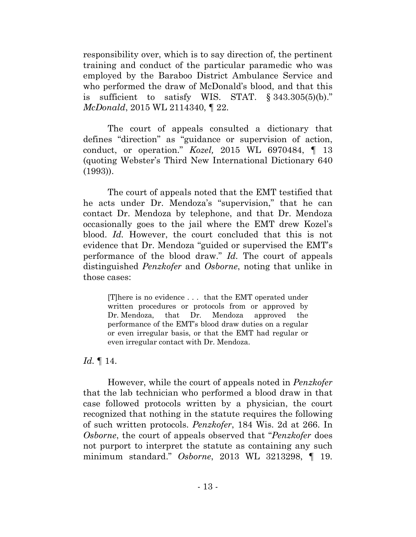responsibility over, which is to say direction of, the pertinent training and conduct of the particular paramedic who was employed by the Baraboo District Ambulance Service and who performed the draw of McDonald's blood, and that this is sufficient to satisfy WIS. STAT. § 343.305(5)(b)." *McDonald*, 2015 WL 2114340, ¶ 22.

The court of appeals consulted a dictionary that defines "direction" as "guidance or supervision of action, conduct, or operation." *Kozel,* 2015 WL 6970484, ¶ 13 (quoting Webster's Third New International Dictionary 640 (1993)).

The court of appeals noted that the EMT testified that he acts under Dr. Mendoza's "supervision," that he can contact Dr. Mendoza by telephone, and that Dr. Mendoza occasionally goes to the jail where the EMT drew Kozel's blood. *Id.* However, the court concluded that this is not evidence that Dr. Mendoza "guided or supervised the EMT's performance of the blood draw." *Id.* The court of appeals distinguished *Penzkofer* and *Osborne*, noting that unlike in those cases:

[T]here is no evidence . . . that the EMT operated under written procedures or protocols from or approved by Dr. Mendoza, that Dr. Mendoza approved the performance of the EMT's blood draw duties on a regular or even irregular basis, or that the EMT had regular or even irregular contact with Dr. Mendoza.

*Id.* ¶ 14.

However, while the court of appeals noted in *Penzkofer* that the lab technician who performed a blood draw in that case followed protocols written by a physician, the court recognized that nothing in the statute requires the following of such written protocols. *Penzkofer*, 184 Wis. 2d at 266. In *Osborne*, the court of appeals observed that "*Penzkofer* does not purport to interpret the statute as containing any such minimum standard." *Osborne*, 2013 WL 3213298, ¶ 19.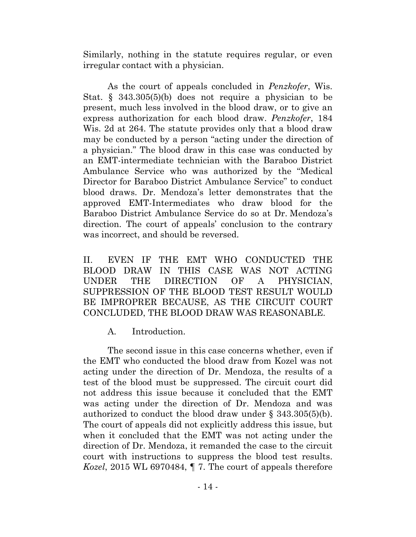Similarly, nothing in the statute requires regular, or even irregular contact with a physician.

As the court of appeals concluded in *Penzkofer*, Wis. Stat. § 343.305(5)(b) does not require a physician to be present, much less involved in the blood draw, or to give an express authorization for each blood draw. *Penzkofer*, 184 Wis. 2d at 264. The statute provides only that a blood draw may be conducted by a person "acting under the direction of a physician." The blood draw in this case was conducted by an EMT-intermediate technician with the Baraboo District Ambulance Service who was authorized by the "Medical Director for Baraboo District Ambulance Service" to conduct blood draws. Dr. Mendoza's letter demonstrates that the approved EMT-Intermediates who draw blood for the Baraboo District Ambulance Service do so at Dr. Mendoza's direction. The court of appeals' conclusion to the contrary was incorrect, and should be reversed.

II. EVEN IF THE EMT WHO CONDUCTED THE BLOOD DRAW IN THIS CASE WAS NOT ACTING UNDER THE DIRECTION OF A PHYSICIAN, SUPPRESSION OF THE BLOOD TEST RESULT WOULD BE IMPROPRER BECAUSE, AS THE CIRCUIT COURT CONCLUDED, THE BLOOD DRAW WAS REASONABLE.

A. Introduction.

The second issue in this case concerns whether, even if the EMT who conducted the blood draw from Kozel was not acting under the direction of Dr. Mendoza, the results of a test of the blood must be suppressed. The circuit court did not address this issue because it concluded that the EMT was acting under the direction of Dr. Mendoza and was authorized to conduct the blood draw under § 343.305(5)(b). The court of appeals did not explicitly address this issue, but when it concluded that the EMT was not acting under the direction of Dr. Mendoza, it remanded the case to the circuit court with instructions to suppress the blood test results. *Kozel*, 2015 WL 6970484, ¶ 7. The court of appeals therefore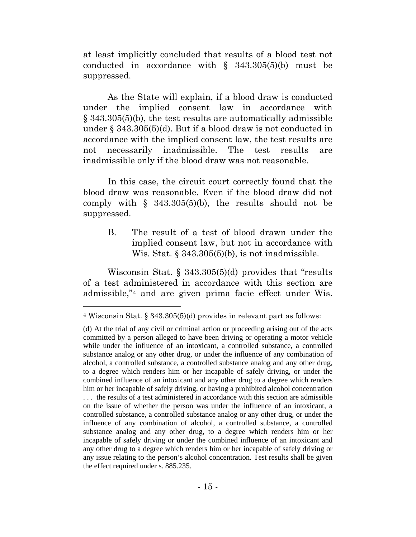at least implicitly concluded that results of a blood test not conducted in accordance with  $\S$  343.305(5)(b) must be suppressed.

As the State will explain, if a blood draw is conducted under the implied consent law in accordance with § 343.305(5)(b), the test results are automatically admissible under § 343.305(5)(d). But if a blood draw is not conducted in accordance with the implied consent law, the test results are not necessarily inadmissible. The test results are inadmissible only if the blood draw was not reasonable.

In this case, the circuit court correctly found that the blood draw was reasonable. Even if the blood draw did not comply with  $\S$  343.305(5)(b), the results should not be suppressed.

B. The result of a test of blood drawn under the implied consent law, but not in accordance with Wis. Stat.  $\S$  343.305(5)(b), is not inadmissible.

Wisconsin Stat. § 343.305(5)(d) provides that "results of a test administered in accordance with this section are admissible,"[4](#page-20-0) and are given prima facie effect under Wis.

 $\overline{a}$ 

<span id="page-20-0"></span><sup>4</sup> Wisconsin Stat. § 343.305(5)(d) provides in relevant part as follows:

<sup>(</sup>d) At the trial of any civil or criminal action or proceeding arising out of the acts committed by a person alleged to have been driving or operating a motor vehicle while under the influence of an intoxicant, a controlled substance, a controlled substance analog or any other drug, or under the influence of any combination of alcohol, a controlled substance, a controlled substance analog and any other drug, to a degree which renders him or her incapable of safely driving, or under the combined influence of an intoxicant and any other drug to a degree which renders him or her incapable of safely driving, or having a prohibited alcohol concentration . . . the results of a test administered in accordance with this section are admissible on the issue of whether the person was under the influence of an intoxicant, a controlled substance, a controlled substance analog or any other drug, or under the influence of any combination of alcohol, a controlled substance, a controlled substance analog and any other drug, to a degree which renders him or her incapable of safely driving or under the combined influence of an intoxicant and any other drug to a degree which renders him or her incapable of safely driving or any issue relating to the person's alcohol concentration. Test results shall be given the effect required under s. 885.235.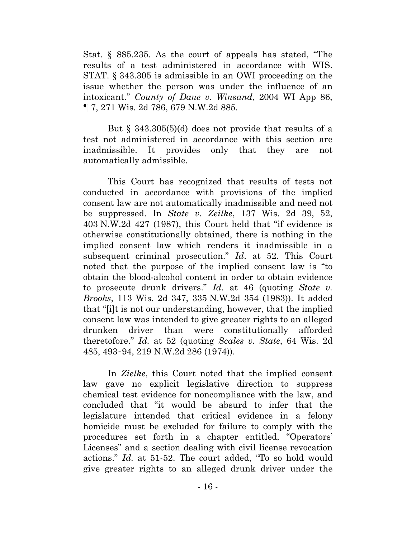Stat. § 885.235. As the court of appeals has stated, "The results of a test administered in accordance with WIS. STAT. § 343.305 is admissible in an OWI proceeding on the issue whether the person was under the influence of an intoxicant." *County of Dane v. Winsand*, 2004 WI App 86, ¶ 7, 271 Wis. 2d 786, 679 N.W.2d 885.

But § 343.305(5)(d) does not provide that results of a test not administered in accordance with this section are inadmissible. It provides only that they are not automatically admissible.

This Court has recognized that results of tests not conducted in accordance with provisions of the implied consent law are not automatically inadmissible and need not be suppressed. In *State v. Zeilke*, 137 Wis. 2d 39, 52, 403 N.W.2d 427 (1987), this Court held that "if evidence is otherwise constitutionally obtained, there is nothing in the implied consent law which renders it inadmissible in a subsequent criminal prosecution." *Id*. at 52. This Court noted that the purpose of the implied consent law is "to obtain the blood-alcohol content in order to obtain evidence to prosecute drunk drivers." *Id.* at 46 (quoting *State v. Brooks*, 113 Wis. 2d 347, 335 N.W.2d 354 (1983)). It added that "[i]t is not our understanding, however, that the implied consent law was intended to give greater rights to an alleged drunken driver than were constitutionally afforded theretofore." *Id.* at 52 (quoting *Scales v. State*, 64 Wis. 2d 485, 493‑94, 219 N.W.2d 286 (1974)).

In *Zielke*, this Court noted that the implied consent law gave no explicit legislative direction to suppress chemical test evidence for noncompliance with the law, and concluded that "it would be absurd to infer that the legislature intended that critical evidence in a felony homicide must be excluded for failure to comply with the procedures set forth in a chapter entitled, "Operators' Licenses" and a section dealing with civil license revocation actions." *Id.* at 51-52. The court added, "To so hold would give greater rights to an alleged drunk driver under the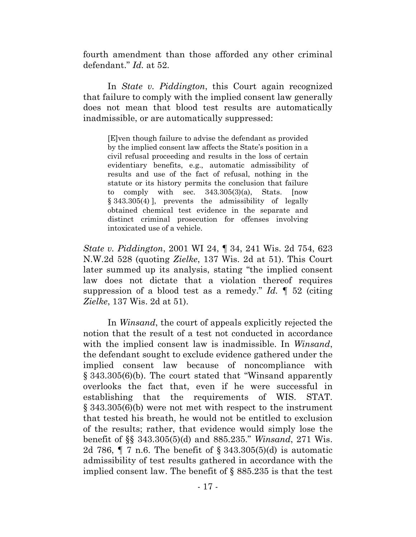fourth amendment than those afforded any other criminal defendant." *Id.* at 52.

In *State v. Piddington*, this Court again recognized that failure to comply with the implied consent law generally does not mean that blood test results are automatically inadmissible, or are automatically suppressed:

[E]ven though failure to advise the defendant as provided by the implied consent law affects the State's position in a civil refusal proceeding and results in the loss of certain evidentiary benefits, e.g., automatic admissibility of results and use of the fact of refusal, nothing in the statute or its history permits the conclusion that failure to comply with sec.  $343.305(3)(a)$ , Stats. [now § 343.305(4) ], prevents the admissibility of legally obtained chemical test evidence in the separate and distinct criminal prosecution for offenses involving intoxicated use of a vehicle.

*State v. Piddington*, 2001 WI 24, ¶ 34, 241 Wis. 2d 754, 623 N.W.2d 528 (quoting *Zielke*, 137 Wis. 2d at 51). This Court later summed up its analysis, stating "the implied consent law does not dictate that a violation thereof requires suppression of a blood test as a remedy." *Id.* ¶ 52 (citing *Zielke*, 137 Wis. 2d at 51).

In *Winsand*, the court of appeals explicitly rejected the notion that the result of a test not conducted in accordance with the implied consent law is inadmissible. In *Winsand*, the defendant sought to exclude evidence gathered under the implied consent law because of noncompliance with § 343.305(6)(b). The court stated that "Winsand apparently overlooks the fact that, even if he were successful in establishing that the requirements of WIS. STAT. § 343.305(6)(b) were not met with respect to the instrument that tested his breath, he would not be entitled to exclusion of the results; rather, that evidence would simply lose the benefit of §§ 343.305(5)(d) and 885.235." *Winsand*, 271 Wis. 2d 786, ¶ 7 n.6. The benefit of § 343.305(5)(d) is automatic admissibility of test results gathered in accordance with the implied consent law. The benefit of § 885.235 is that the test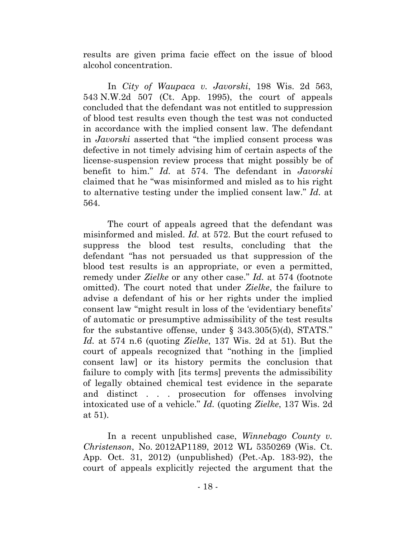results are given prima facie effect on the issue of blood alcohol concentration.

In *City of Waupaca v. Javorski*, 198 Wis. 2d 563, 543 N.W.2d 507 (Ct. App. 1995), the court of appeals concluded that the defendant was not entitled to suppression of blood test results even though the test was not conducted in accordance with the implied consent law. The defendant in *Javorski* asserted that "the implied consent process was defective in not timely advising him of certain aspects of the license-suspension review process that might possibly be of benefit to him." *Id.* at 574. The defendant in *Javorski* claimed that he "was misinformed and misled as to his right to alternative testing under the implied consent law." *Id.* at 564.

The court of appeals agreed that the defendant was misinformed and misled. *Id.* at 572. But the court refused to suppress the blood test results, concluding that the defendant "has not persuaded us that suppression of the blood test results is an appropriate, or even a permitted, remedy under *Zielke* or any other case." *Id.* at 574 (footnote omitted). The court noted that under *Zielke*, the failure to advise a defendant of his or her rights under the implied consent law "might result in loss of the 'evidentiary benefits' of automatic or presumptive admissibility of the test results for the substantive offense, under § 343.305(5)(d), STATS." *Id.* at 574 n.6 (quoting *Zielke*, 137 Wis. 2d at 51). But the court of appeals recognized that "nothing in the [implied consent law] or its history permits the conclusion that failure to comply with [its terms] prevents the admissibility of legally obtained chemical test evidence in the separate and distinct . . . prosecution for offenses involving intoxicated use of a vehicle." *Id.* (quoting *Zielke*, 137 Wis. 2d at 51).

In a recent unpublished case, *Winnebago County v. Christenson*, No. 2012AP1189, 2012 WL 5350269 (Wis. Ct. App. Oct. 31, 2012) (unpublished) (Pet.-Ap. 183-92), the court of appeals explicitly rejected the argument that the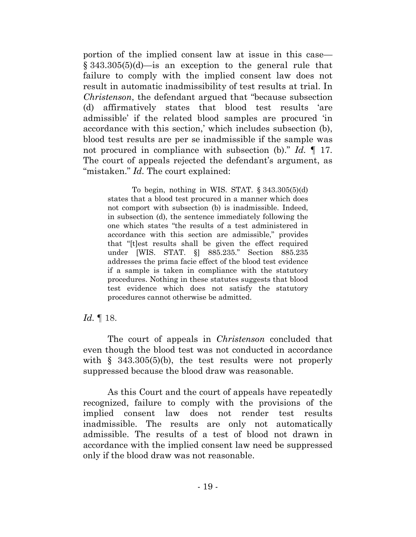portion of the implied consent law at issue in this case— § 343.305(5)(d)—is an exception to the general rule that failure to comply with the implied consent law does not result in automatic inadmissibility of test results at trial. In *Christenson*, the defendant argued that "because subsection (d) affirmatively states that blood test results 'are admissible' if the related blood samples are procured 'in accordance with this section,' which includes subsection (b), blood test results are per se inadmissible if the sample was not procured in compliance with subsection (b)." *Id.* ¶ 17. The court of appeals rejected the defendant's argument, as "mistaken." *Id.* The court explained:

To begin, nothing in WIS. STAT. § 343.305(5)(d) states that a blood test procured in a manner which does not comport with subsection (b) is inadmissible. Indeed, in subsection (d), the sentence immediately following the one which states "the results of a test administered in accordance with this section are admissible," provides that "[t]est results shall be given the effect required under [WIS. STAT. §] 885.235." Section 885.235 addresses the prima facie effect of the blood test evidence if a sample is taken in compliance with the statutory procedures. Nothing in these statutes suggests that blood test evidence which does not satisfy the statutory procedures cannot otherwise be admitted.

### *Id.* ¶ 18.

The court of appeals in *Christenson* concluded that even though the blood test was not conducted in accordance with § 343.305(5)(b), the test results were not properly suppressed because the blood draw was reasonable.

As this Court and the court of appeals have repeatedly recognized, failure to comply with the provisions of the implied consent law does not render test results inadmissible. The results are only not automatically admissible. The results of a test of blood not drawn in accordance with the implied consent law need be suppressed only if the blood draw was not reasonable.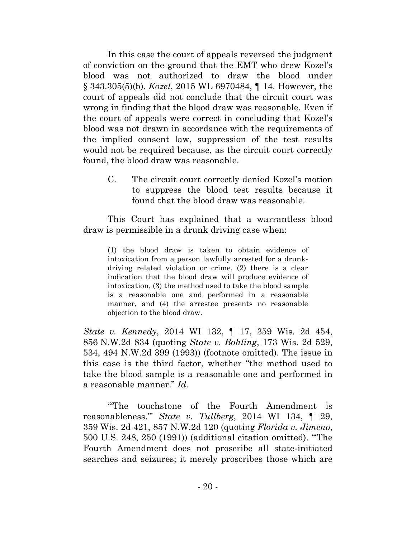In this case the court of appeals reversed the judgment of conviction on the ground that the EMT who drew Kozel's blood was not authorized to draw the blood under § 343.305(5)(b). *Kozel*, 2015 WL 6970484, ¶ 14. However, the court of appeals did not conclude that the circuit court was wrong in finding that the blood draw was reasonable. Even if the court of appeals were correct in concluding that Kozel's blood was not drawn in accordance with the requirements of the implied consent law, suppression of the test results would not be required because, as the circuit court correctly found, the blood draw was reasonable.

C. The circuit court correctly denied Kozel's motion to suppress the blood test results because it found that the blood draw was reasonable.

This Court has explained that a warrantless blood draw is permissible in a drunk driving case when:

(1) the blood draw is taken to obtain evidence of intoxication from a person lawfully arrested for a drunkdriving related violation or crime, (2) there is a clear indication that the blood draw will produce evidence of intoxication, (3) the method used to take the blood sample is a reasonable one and performed in a reasonable manner, and (4) the arrestee presents no reasonable objection to the blood draw.

*State v. Kennedy*, 2014 WI 132, ¶ 17, 359 Wis. 2d 454, 856 N.W.2d 834 (quoting *State v. Bohling*, 173 Wis. 2d 529, 534, 494 N.W.2d 399 (1993)) (footnote omitted). The issue in this case is the third factor, whether "the method used to take the blood sample is a reasonable one and performed in a reasonable manner." *Id.*

'"The touchstone of the Fourth Amendment is reasonableness.'" *State v. Tullberg*, 2014 WI 134, ¶ 29, 359 Wis. 2d 421, 857 N.W.2d 120 (quoting *Florida v. Jimeno*, 500 U.S. 248, 250 (1991)) (additional citation omitted). "'The Fourth Amendment does not proscribe all state-initiated searches and seizures; it merely proscribes those which are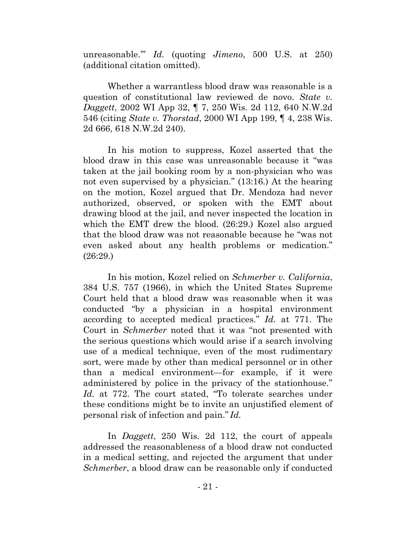unreasonable.'" *Id.* (quoting *Jimeno*, 500 U.S. at 250) (additional citation omitted).

Whether a warrantless blood draw was reasonable is a question of constitutional law reviewed de novo. *State v. Daggett*, 2002 WI App 32, ¶ 7, 250 Wis. 2d 112, 640 N.W.2d 546 (citing *State v. Thorstad*, 2000 WI App 199, ¶ 4, 238 Wis. 2d 666, 618 N.W.2d 240).

In his motion to suppress, Kozel asserted that the blood draw in this case was unreasonable because it "was taken at the jail booking room by a non-physician who was not even supervised by a physician." (13:16.) At the hearing on the motion, Kozel argued that Dr. Mendoza had never authorized, observed, or spoken with the EMT about drawing blood at the jail, and never inspected the location in which the EMT drew the blood. (26:29.) Kozel also argued that the blood draw was not reasonable because he "was not even asked about any health problems or medication." (26:29.)

In his motion, Kozel relied on *Schmerber v. California*, 384 U.S. 757 (1966), in which the United States Supreme Court held that a blood draw was reasonable when it was conducted "by a physician in a hospital environment according to accepted medical practices." *Id.* at 771. The Court in *Schmerber* noted that it was "not presented with the serious questions which would arise if a search involving use of a medical technique, even of the most rudimentary sort, were made by other than medical personnel or in other than a medical environment—for example, if it were administered by police in the privacy of the stationhouse." *Id.* at 772. The court stated, "To tolerate searches under these conditions might be to invite an unjustified element of personal risk of infection and pain." *Id.*

In *Daggett*, 250 Wis. 2d 112, the court of appeals addressed the reasonableness of a blood draw not conducted in a medical setting, and rejected the argument that under *Schmerber*, a blood draw can be reasonable only if conducted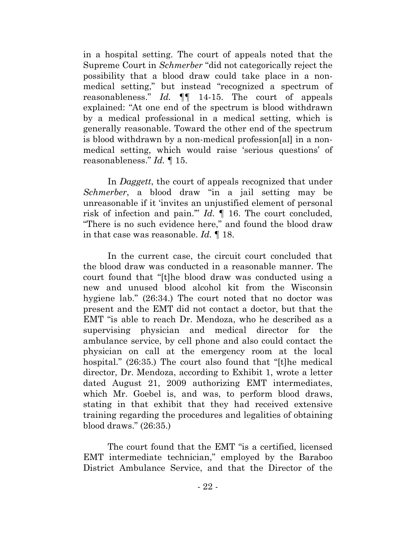in a hospital setting. The court of appeals noted that the Supreme Court in *Schmerber* "did not categorically reject the possibility that a blood draw could take place in a nonmedical setting," but instead "recognized a spectrum of reasonableness." *Id.* ¶¶ 14-15. The court of appeals explained: "At one end of the spectrum is blood withdrawn by a medical professional in a medical setting, which is generally reasonable. Toward the other end of the spectrum is blood withdrawn by a non-medical profession[al] in a nonmedical setting, which would raise 'serious questions' of reasonableness." *Id.* ¶ 15.

In *Daggett*, the court of appeals recognized that under *Schmerber*, a blood draw "in a jail setting may be unreasonable if it 'invites an unjustified element of personal risk of infection and pain.'" *Id.* ¶ 16. The court concluded, "There is no such evidence here," and found the blood draw in that case was reasonable. *Id.* ¶ 18.

In the current case, the circuit court concluded that the blood draw was conducted in a reasonable manner. The court found that "[t]he blood draw was conducted using a new and unused blood alcohol kit from the Wisconsin hygiene lab." (26:34.) The court noted that no doctor was present and the EMT did not contact a doctor, but that the EMT "is able to reach Dr. Mendoza, who he described as a supervising physician and medical director for the ambulance service, by cell phone and also could contact the physician on call at the emergency room at the local hospital." (26:35.) The court also found that "[t]he medical director, Dr. Mendoza, according to Exhibit 1, wrote a letter dated August 21, 2009 authorizing EMT intermediates, which Mr. Goebel is, and was, to perform blood draws, stating in that exhibit that they had received extensive training regarding the procedures and legalities of obtaining blood draws." (26:35.)

 The court found that the EMT "is a certified, licensed EMT intermediate technician," employed by the Baraboo District Ambulance Service, and that the Director of the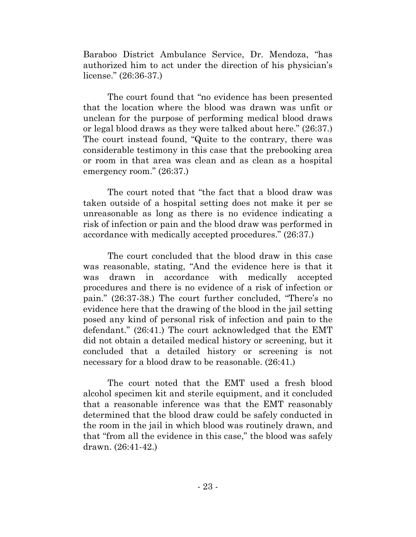Baraboo District Ambulance Service, Dr. Mendoza, "has authorized him to act under the direction of his physician's license." (26:36-37.)

The court found that "no evidence has been presented that the location where the blood was drawn was unfit or unclean for the purpose of performing medical blood draws or legal blood draws as they were talked about here." (26:37.) The court instead found, "Quite to the contrary, there was considerable testimony in this case that the prebooking area or room in that area was clean and as clean as a hospital emergency room." (26:37.)

The court noted that "the fact that a blood draw was taken outside of a hospital setting does not make it per se unreasonable as long as there is no evidence indicating a risk of infection or pain and the blood draw was performed in accordance with medically accepted procedures." (26:37.)

The court concluded that the blood draw in this case was reasonable, stating, "And the evidence here is that it was drawn in accordance with medically accepted procedures and there is no evidence of a risk of infection or pain." (26:37-38.) The court further concluded, "There's no evidence here that the drawing of the blood in the jail setting posed any kind of personal risk of infection and pain to the defendant." (26:41.) The court acknowledged that the EMT did not obtain a detailed medical history or screening, but it concluded that a detailed history or screening is not necessary for a blood draw to be reasonable. (26:41.)

The court noted that the EMT used a fresh blood alcohol specimen kit and sterile equipment, and it concluded that a reasonable inference was that the EMT reasonably determined that the blood draw could be safely conducted in the room in the jail in which blood was routinely drawn, and that "from all the evidence in this case," the blood was safely drawn. (26:41-42.)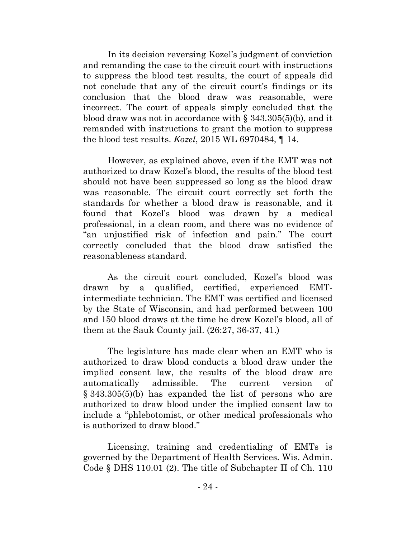In its decision reversing Kozel's judgment of conviction and remanding the case to the circuit court with instructions to suppress the blood test results, the court of appeals did not conclude that any of the circuit court's findings or its conclusion that the blood draw was reasonable, were incorrect. The court of appeals simply concluded that the blood draw was not in accordance with § 343.305(5)(b), and it remanded with instructions to grant the motion to suppress the blood test results. *Kozel*, 2015 WL 6970484, ¶ 14.

However, as explained above, even if the EMT was not authorized to draw Kozel's blood, the results of the blood test should not have been suppressed so long as the blood draw was reasonable. The circuit court correctly set forth the standards for whether a blood draw is reasonable, and it found that Kozel's blood was drawn by a medical professional, in a clean room, and there was no evidence of "an unjustified risk of infection and pain." The court correctly concluded that the blood draw satisfied the reasonableness standard.

As the circuit court concluded, Kozel's blood was drawn by a qualified, certified, experienced EMTintermediate technician. The EMT was certified and licensed by the State of Wisconsin, and had performed between 100 and 150 blood draws at the time he drew Kozel's blood, all of them at the Sauk County jail. (26:27, 36-37, 41.)

The legislature has made clear when an EMT who is authorized to draw blood conducts a blood draw under the implied consent law, the results of the blood draw are automatically admissible. The current version of § 343.305(5)(b) has expanded the list of persons who are authorized to draw blood under the implied consent law to include a "phlebotomist, or other medical professionals who is authorized to draw blood."

Licensing, training and credentialing of EMTs is governed by the Department of Health Services. Wis. Admin. Code § DHS 110.01 (2). The title of Subchapter II of Ch. 110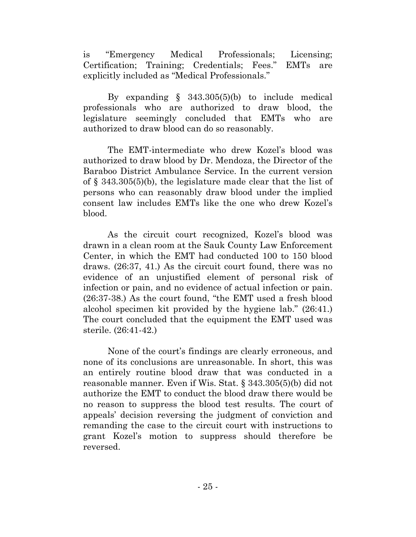is "Emergency Medical Professionals; Licensing; Certification; Training; Credentials; Fees." EMTs are explicitly included as "Medical Professionals."

By expanding  $\S$  343.305(5)(b) to include medical professionals who are authorized to draw blood, the legislature seemingly concluded that EMTs who are authorized to draw blood can do so reasonably.

The EMT-intermediate who drew Kozel's blood was authorized to draw blood by Dr. Mendoza, the Director of the Baraboo District Ambulance Service. In the current version of § 343.305(5)(b), the legislature made clear that the list of persons who can reasonably draw blood under the implied consent law includes EMTs like the one who drew Kozel's blood.

As the circuit court recognized, Kozel's blood was drawn in a clean room at the Sauk County Law Enforcement Center, in which the EMT had conducted 100 to 150 blood draws. (26:37, 41.) As the circuit court found, there was no evidence of an unjustified element of personal risk of infection or pain, and no evidence of actual infection or pain. (26:37-38.) As the court found, "the EMT used a fresh blood alcohol specimen kit provided by the hygiene lab." (26:41.) The court concluded that the equipment the EMT used was sterile. (26:41-42.)

None of the court's findings are clearly erroneous, and none of its conclusions are unreasonable. In short, this was an entirely routine blood draw that was conducted in a reasonable manner. Even if Wis. Stat. § 343.305(5)(b) did not authorize the EMT to conduct the blood draw there would be no reason to suppress the blood test results. The court of appeals' decision reversing the judgment of conviction and remanding the case to the circuit court with instructions to grant Kozel's motion to suppress should therefore be reversed.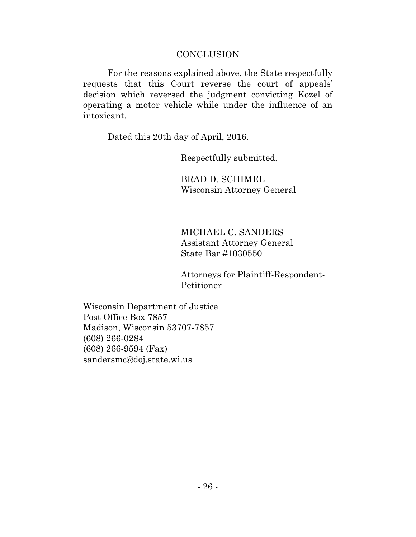### **CONCLUSION**

For the reasons explained above, the State respectfully requests that this Court reverse the court of appeals' decision which reversed the judgment convicting Kozel of operating a motor vehicle while under the influence of an intoxicant.

Dated this 20th day of April, 2016.

Respectfully submitted,

BRAD D. SCHIMEL Wisconsin Attorney General

MICHAEL C. SANDERS Assistant Attorney General State Bar #1030550

Attorneys for Plaintiff-Respondent-Petitioner

Wisconsin Department of Justice Post Office Box 7857 Madison, Wisconsin 53707-7857 (608) 266-0284 (608) 266-9594 (Fax) [sandersmc@doj.state.wi.us](mailto:sandersmc@doj.state.wi.us)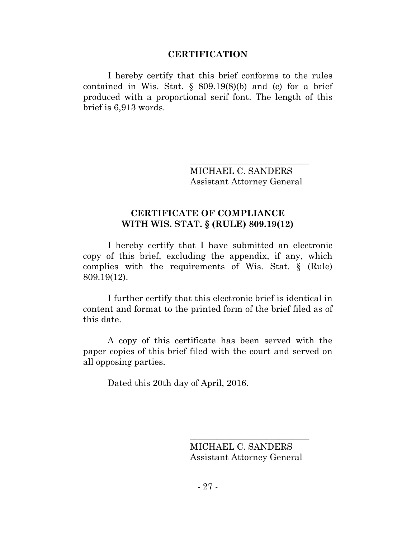### **CERTIFICATION**

I hereby certify that this brief conforms to the rules contained in Wis. Stat.  $\S$  809.19(8)(b) and (c) for a brief produced with a proportional serif font. The length of this brief is 6,913 words.

> \_\_\_\_\_\_\_\_\_\_\_\_\_\_\_\_\_\_\_\_\_\_\_\_\_\_\_ MICHAEL C. SANDERS Assistant Attorney General

## **CERTIFICATE OF COMPLIANCE WITH WIS. STAT. § (RULE) 809.19(12)**

I hereby certify that I have submitted an electronic copy of this brief, excluding the appendix, if any, which complies with the requirements of Wis. Stat. § (Rule) 809.19(12).

I further certify that this electronic brief is identical in content and format to the printed form of the brief filed as of this date.

A copy of this certificate has been served with the paper copies of this brief filed with the court and served on all opposing parties.

Dated this 20th day of April, 2016.

MICHAEL C. SANDERS Assistant Attorney General

\_\_\_\_\_\_\_\_\_\_\_\_\_\_\_\_\_\_\_\_\_\_\_\_\_\_\_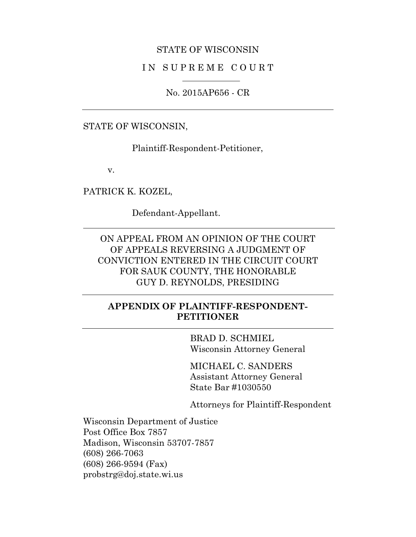#### STATE OF WISCONSIN

### IN SUPREME COURT

No. 2015AP656 - CR

STATE OF WISCONSIN,

Plaintiff-Respondent-Petitioner,

v.

PATRICK K. KOZEL,

Defendant-Appellant.

ON APPEAL FROM AN OPINION OF THE COURT OF APPEALS REVERSING A JUDGMENT OF CONVICTION ENTERED IN THE CIRCUIT COURT FOR SAUK COUNTY, THE HONORABLE GUY D. REYNOLDS, PRESIDING

# **APPENDIX OF PLAINTIFF-RESPONDENT-PETITIONER**

BRAD D. SCHMIEL Wisconsin Attorney General

MICHAEL C. SANDERS Assistant Attorney General State Bar #1030550

Attorneys for Plaintiff-Respondent

Wisconsin Department of Justice Post Office Box 7857 Madison, Wisconsin 53707-7857 (608) 266-7063 (608) 266-9594 (Fax) probstrg@doj.state.wi.us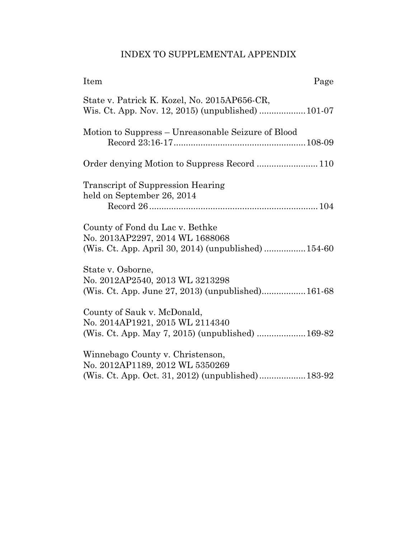# INDEX TO SUPPLEMENTAL APPENDIX

| Item<br>Page                                                                                                               |
|----------------------------------------------------------------------------------------------------------------------------|
| State v. Patrick K. Kozel, No. 2015AP656-CR,<br>Wis. Ct. App. Nov. 12, 2015) (unpublished)  101-07                         |
| Motion to Suppress - Unreasonable Seizure of Blood                                                                         |
|                                                                                                                            |
| <b>Transcript of Suppression Hearing</b><br>held on September 26, 2014                                                     |
| County of Fond du Lac v. Bethke<br>No. 2013AP2297, 2014 WL 1688068<br>(Wis. Ct. App. April 30, 2014) (unpublished)  154-60 |
| State v. Osborne,<br>No. 2012AP2540, 2013 WL 3213298<br>(Wis. Ct. App. June 27, 2013) (unpublished) 161-68                 |
| County of Sauk v. McDonald,<br>No. 2014AP1921, 2015 WL 2114340<br>(Wis. Ct. App. May 7, 2015) (unpublished)  169-82        |
| Winnebago County v. Christenson,<br>No. 2012AP1189, 2012 WL 5350269                                                        |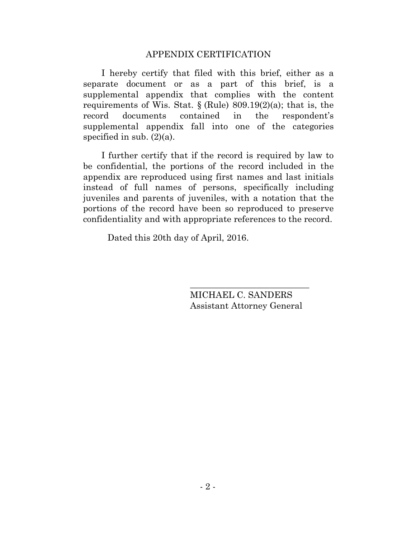#### APPENDIX CERTIFICATION

I hereby certify that filed with this brief, either as a separate document or as a part of this brief, is a supplemental appendix that complies with the content requirements of Wis. Stat.  $\{(Rule) 809.19(2)(a); that is, the$ record documents contained in the respondent's supplemental appendix fall into one of the categories specified in sub.  $(2)(a)$ .

I further certify that if the record is required by law to be confidential, the portions of the record included in the appendix are reproduced using first names and last initials instead of full names of persons, specifically including juveniles and parents of juveniles, with a notation that the portions of the record have been so reproduced to preserve confidentiality and with appropriate references to the record.

Dated this 20th day of April, 2016.

MICHAEL C. SANDERS Assistant Attorney General

\_\_\_\_\_\_\_\_\_\_\_\_\_\_\_\_\_\_\_\_\_\_\_\_\_\_\_